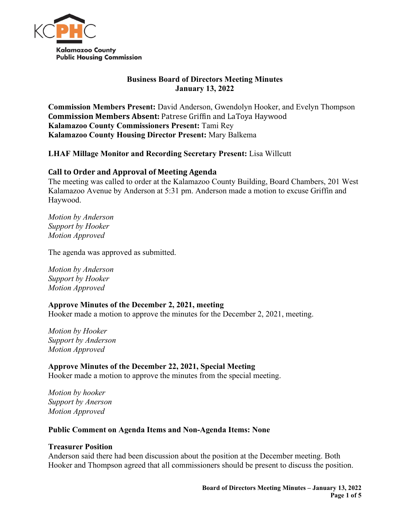

# **Business Board of Directors Meeting Minutes January 13, 2022**

**Commission Members Present:** David Anderson, Gwendolyn Hooker, and Evelyn Thompson **Commission Members Absent:** Patrese Griffin and LaToya Haywood **Kalamazoo County Commissioners Present:** Tami Rey **Kalamazoo County Housing Director Present:** Mary Balkema

# **LHAF Millage Monitor and Recording Secretary Present:** Lisa Willcutt

### **Call to Order and Approval of Meeting Agenda**

The meeting was called to order at the Kalamazoo County Building, Board Chambers, 201 West Kalamazoo Avenue by Anderson at 5:31 pm. Anderson made a motion to excuse Griffin and Haywood.

*Motion by Anderson Support by Hooker Motion Approved*

The agenda was approved as submitted.

*Motion by Anderson Support by Hooker Motion Approved*

### **Approve Minutes of the December 2, 2021, meeting**

Hooker made a motion to approve the minutes for the December 2, 2021, meeting.

*Motion by Hooker Support by Anderson Motion Approved*

**Approve Minutes of the December 22, 2021, Special Meeting** Hooker made a motion to approve the minutes from the special meeting.

*Motion by hooker Support by Anerson Motion Approved*

#### **Public Comment on Agenda Items and Non-Agenda Items: None**

#### **Treasurer Position**

Anderson said there had been discussion about the position at the December meeting. Both Hooker and Thompson agreed that all commissioners should be present to discuss the position.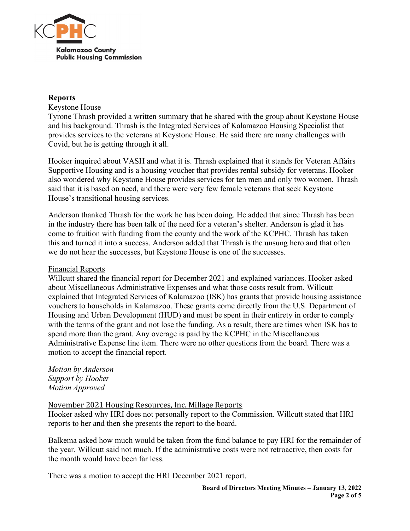

## **Reports**

# Keystone House

Tyrone Thrash provided a written summary that he shared with the group about Keystone House and his background. Thrash is the Integrated Services of Kalamazoo Housing Specialist that provides services to the veterans at Keystone House. He said there are many challenges with Covid, but he is getting through it all.

Hooker inquired about VASH and what it is. Thrash explained that it stands for Veteran Affairs Supportive Housing and is a housing voucher that provides rental subsidy for veterans. Hooker also wondered why Keystone House provides services for ten men and only two women. Thrash said that it is based on need, and there were very few female veterans that seek Keystone House's transitional housing services.

Anderson thanked Thrash for the work he has been doing. He added that since Thrash has been in the industry there has been talk of the need for a veteran's shelter. Anderson is glad it has come to fruition with funding from the county and the work of the KCPHC. Thrash has taken this and turned it into a success. Anderson added that Thrash is the unsung hero and that often we do not hear the successes, but Keystone House is one of the successes.

## Financial Reports

Willcutt shared the financial report for December 2021 and explained variances. Hooker asked about Miscellaneous Administrative Expenses and what those costs result from. Willcutt explained that Integrated Services of Kalamazoo (ISK) has grants that provide housing assistance vouchers to households in Kalamazoo. These grants come directly from the U.S. Department of Housing and Urban Development (HUD) and must be spent in their entirety in order to comply with the terms of the grant and not lose the funding. As a result, there are times when ISK has to spend more than the grant. Any overage is paid by the KCPHC in the Miscellaneous Administrative Expense line item. There were no other questions from the board. There was a motion to accept the financial report.

*Motion by Anderson Support by Hooker Motion Approved*

# November 2021 Housing Resources, Inc. Millage Reports

Hooker asked why HRI does not personally report to the Commission. Willcutt stated that HRI reports to her and then she presents the report to the board.

Balkema asked how much would be taken from the fund balance to pay HRI for the remainder of the year. Willcutt said not much. If the administrative costs were not retroactive, then costs for the month would have been far less.

There was a motion to accept the HRI December 2021 report.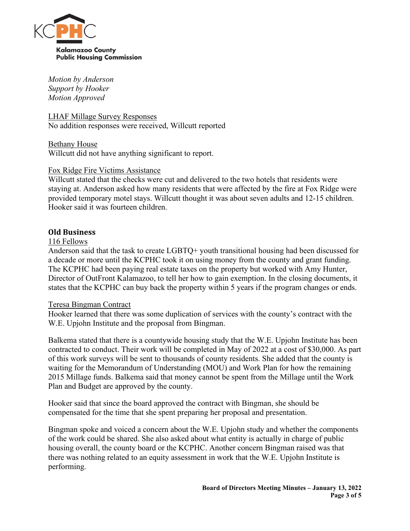

*Motion by Anderson Support by Hooker Motion Approved*

LHAF Millage Survey Responses No addition responses were received, Willcutt reported

Bethany House Willcutt did not have anything significant to report.

### Fox Ridge Fire Victims Assistance

Willcutt stated that the checks were cut and delivered to the two hotels that residents were staying at. Anderson asked how many residents that were affected by the fire at Fox Ridge were provided temporary motel stays. Willcutt thought it was about seven adults and 12-15 children. Hooker said it was fourteen children.

# **Old Business**

### 116 Fellows

Anderson said that the task to create LGBTQ+ youth transitional housing had been discussed for a decade or more until the KCPHC took it on using money from the county and grant funding. The KCPHC had been paying real estate taxes on the property but worked with Amy Hunter, Director of OutFront Kalamazoo, to tell her how to gain exemption. In the closing documents, it states that the KCPHC can buy back the property within 5 years if the program changes or ends.

### Teresa Bingman Contract

Hooker learned that there was some duplication of services with the county's contract with the W.E. Upjohn Institute and the proposal from Bingman.

Balkema stated that there is a countywide housing study that the W.E. Upjohn Institute has been contracted to conduct. Their work will be completed in May of 2022 at a cost of \$30,000. As part of this work surveys will be sent to thousands of county residents. She added that the county is waiting for the Memorandum of Understanding (MOU) and Work Plan for how the remaining 2015 Millage funds. Balkema said that money cannot be spent from the Millage until the Work Plan and Budget are approved by the county.

Hooker said that since the board approved the contract with Bingman, she should be compensated for the time that she spent preparing her proposal and presentation.

Bingman spoke and voiced a concern about the W.E. Upjohn study and whether the components of the work could be shared. She also asked about what entity is actually in charge of public housing overall, the county board or the KCPHC. Another concern Bingman raised was that there was nothing related to an equity assessment in work that the W.E. Upjohn Institute is performing.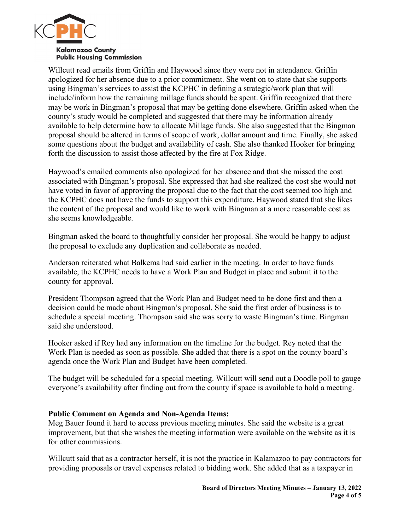

Willcutt read emails from Griffin and Haywood since they were not in attendance. Griffin apologized for her absence due to a prior commitment. She went on to state that she supports using Bingman's services to assist the KCPHC in defining a strategic/work plan that will include/inform how the remaining millage funds should be spent. Griffin recognized that there may be work in Bingman's proposal that may be getting done elsewhere. Griffin asked when the county's study would be completed and suggested that there may be information already available to help determine how to allocate Millage funds. She also suggested that the Bingman proposal should be altered in terms of scope of work, dollar amount and time. Finally, she asked some questions about the budget and availability of cash. She also thanked Hooker for bringing forth the discussion to assist those affected by the fire at Fox Ridge.

Haywood's emailed comments also apologized for her absence and that she missed the cost associated with Bingman's proposal. She expressed that had she realized the cost she would not have voted in favor of approving the proposal due to the fact that the cost seemed too high and the KCPHC does not have the funds to support this expenditure. Haywood stated that she likes the content of the proposal and would like to work with Bingman at a more reasonable cost as she seems knowledgeable.

Bingman asked the board to thoughtfully consider her proposal. She would be happy to adjust the proposal to exclude any duplication and collaborate as needed.

Anderson reiterated what Balkema had said earlier in the meeting. In order to have funds available, the KCPHC needs to have a Work Plan and Budget in place and submit it to the county for approval.

President Thompson agreed that the Work Plan and Budget need to be done first and then a decision could be made about Bingman's proposal. She said the first order of business is to schedule a special meeting. Thompson said she was sorry to waste Bingman's time. Bingman said she understood.

Hooker asked if Rey had any information on the timeline for the budget. Rey noted that the Work Plan is needed as soon as possible. She added that there is a spot on the county board's agenda once the Work Plan and Budget have been completed.

The budget will be scheduled for a special meeting. Willcutt will send out a Doodle poll to gauge everyone's availability after finding out from the county if space is available to hold a meeting.

### **Public Comment on Agenda and Non-Agenda Items:**

Meg Bauer found it hard to access previous meeting minutes. She said the website is a great improvement, but that she wishes the meeting information were available on the website as it is for other commissions.

Willcutt said that as a contractor herself, it is not the practice in Kalamazoo to pay contractors for providing proposals or travel expenses related to bidding work. She added that as a taxpayer in